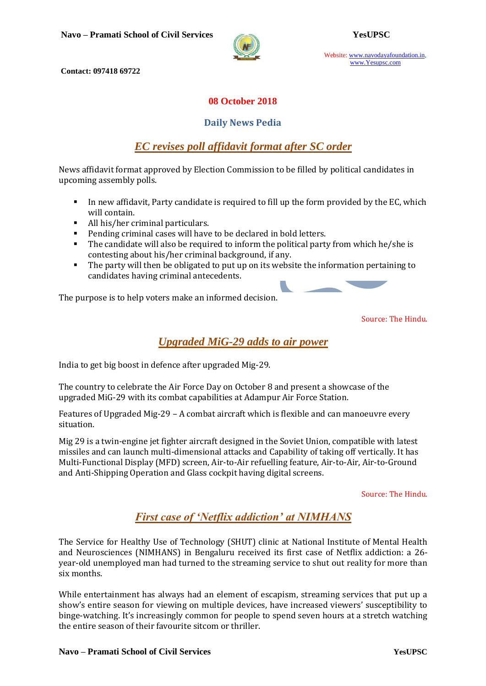

Website: www.navodayafoundation.in, www.Yesupsc.com

**Contact: 097418 69722**

#### **08 October 2018**

#### **Daily News Pedia**

# *[EC revises poll affidavit format after SC order](https://timesofindia.indiatimes.com/india/ec-revises-poll-affidavit-format-after-sc-order/articleshow/66112918.cms)*

News affidavit format approved by Election Commission to be filled by political candidates in upcoming assembly polls.

- In new affidavit, Party candidate is required to fill up the form provided by the EC, which will contain.
- All his/her criminal particulars.
- Pending criminal cases will have to be declared in bold letters.
- The candidate will also be required to inform the political party from which he/she is contesting about his/her criminal background, if any.
- The party will then be obligated to put up on its website the information pertaining to candidates having criminal antecedents.

The purpose is to help voters make an informed decision.

Source: The Hindu.

## *[Upgraded MiG-29 adds to air power](https://www.thehindu.com/news/national/air-force-day-mig-29-gets-upgrade-gains-in-lethality-ferocity/article25148614.ece)*

India to get big boost in defence after upgraded Mig-29.

The country to celebrate the Air Force Day on October 8 and present a showcase of the upgraded MiG-29 with its combat capabilities at Adampur Air Force Station.

Features of Upgraded Mig-29 – A combat aircraft which is flexible and can manoeuvre every situation.

Mig 29 is a twin-engine jet fighter aircraft designed in the Soviet Union, compatible with latest missiles and can launch multi-dimensional attacks and Capability of taking off vertically. It has Multi-Functional Display (MFD) screen, Air-to-Air refuelling feature, Air-to-Air, Air-to-Ground and Anti-Shipping Operation and Glass cockpit having digital screens.

Source: The Hindu.

# *First case of 'Netflix addiction' at NIMHANS*

The Service for Healthy Use of Technology (SHUT) clinic at National Institute of Mental Health and Neurosciences (NIMHANS) in Bengaluru received its first case of Netflix addiction: a 26 year-old unemployed man had turned to the streaming service to shut out reality for more than six months.

While entertainment has always had an element of escapism, streaming services that put up a show's entire season for viewing on multiple devices, have increased viewers' susceptibility to binge-watching. It's increasingly common for people to spend seven hours at a stretch watching the entire season of their favourite sitcom or thriller.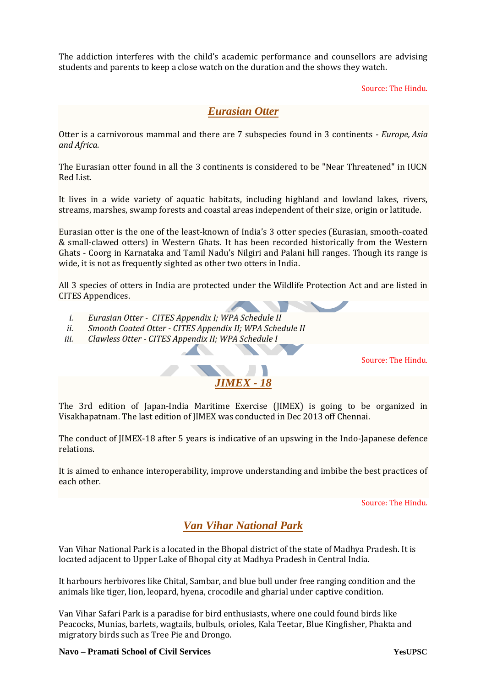The addiction interferes with the child's academic performance and counsellors are advising students and parents to keep a close watch on the duration and the shows they watch.

Source: The Hindu.

### *Eurasian Otter*

Otter is a carnivorous mammal and there are 7 subspecies found in 3 continents - *Europe, Asia and Africa.*

The Eurasian otter found in all the 3 continents is considered to be "Near Threatened" in IUCN Red List.

It lives in a wide variety of aquatic habitats, including highland and lowland lakes, rivers, streams, marshes, swamp forests and coastal areas independent of their size, origin or latitude.

Eurasian otter is the one of the least-known of India's 3 otter species (Eurasian, smooth-coated & small-clawed otters) in Western Ghats. It has been recorded historically from the Western Ghats - Coorg in Karnataka and Tamil Nadu's Nilgiri and Palani hill ranges. Though its range is wide, it is not as frequently sighted as other two otters in India.

All 3 species of otters in India are protected under the Wildlife Protection Act and are listed in CITES Appendices.

- *i. Eurasian Otter - CITES Appendix I; WPA Schedule II*
- *ii. Smooth Coated Otter - CITES Appendix II; WPA Schedule II*
- *iii. Clawless Otter - CITES Appendix II; WPA Schedule I*

Source: The Hindu.

The 3rd edition of Japan-India Maritime Exercise (JIMEX) is going to be organized in Visakhapatnam. The last edition of JIMEX was conducted in Dec 2013 off Chennai.

*JIMEX - 18*

The conduct of JIMEX-18 after 5 years is indicative of an upswing in the Indo-Japanese defence relations.

It is aimed to enhance interoperability, improve understanding and imbibe the best practices of each other.

Source: The Hindu.

### *Van Vihar National Park*

Van Vihar National Park is a located in the Bhopal district of the state of Madhya Pradesh. It is located adjacent to Upper Lake of Bhopal city at Madhya Pradesh in Central India.

It harbours herbivores like Chital, Sambar, and blue bull under free ranging condition and the animals like tiger, lion, leopard, hyena, crocodile and gharial under captive condition.

Van Vihar Safari Park is a paradise for bird enthusiasts, where one could found birds like Peacocks, Munias, barlets, wagtails, bulbuls, orioles, Kala Teetar, Blue Kingfisher, Phakta and migratory birds such as Tree Pie and Drongo.

**Navo – Pramati School of Civil Services YesUPSC**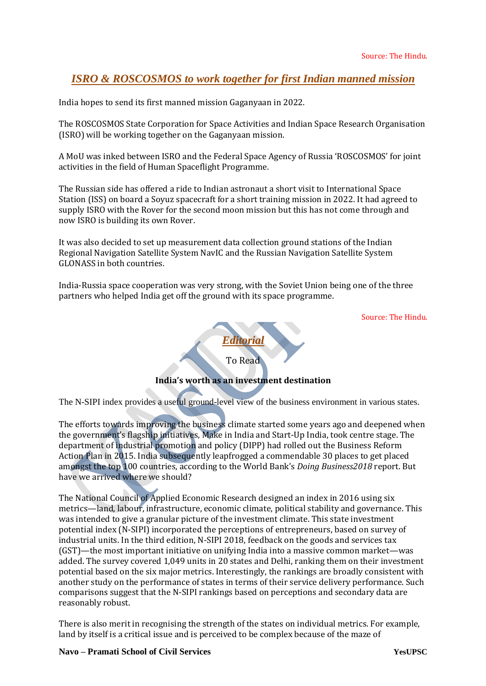# *[ISRO & ROSCOSMOS to work together for first Indian manned mission](https://www.civilsdaily.com/news/isro-roscosmos-to-work-together-for-first-indian-manned-mission/)*

India hopes to send its first manned mission Gaganyaan in 2022.

The ROSCOSMOS State Corporation for Space Activities and Indian Space Research Organisation (ISRO) will be working together on the Gaganyaan mission.

A MoU was inked between ISRO and the Federal Space Agency of Russia 'ROSCOSMOS' for joint activities in the field of Human Spaceflight Programme.

The Russian side has offered a ride to Indian astronaut a short visit to International Space Station (ISS) on board a Soyuz spacecraft for a short training mission in 2022. It had agreed to supply ISRO with the Rover for the second moon mission but this has not come through and now ISRO is building its own Rover.

It was also decided to set up measurement data collection ground stations of the Indian Regional Navigation Satellite System NavIC and the Russian Navigation Satellite System GLONASS in both countries.

India-Russia space cooperation was very strong, with the Soviet Union being one of the three partners who helped India get off the ground with its space programme.

Source: The Hindu.



**India's worth as an investment destination**

The N-SIPI index provides a useful ground-level view of the business environment in various states.

The efforts towards improving the business climate started some years ago and deepened when the government's flagship initiatives, Make in India and Start-Up India, took centre stage. The department of industrial promotion and policy (DIPP) had rolled out the Business Reform Action Plan in 2015. India subsequently leapfrogged a commendable 30 places to get placed amongst the top 100 countries, according to the World Bank's *Doing Business2018* report. But have we arrived where we should?

The National Council of Applied Economic Research designed an index in 2016 using six metrics—land, labour, infrastructure, economic climate, political stability and governance. This was intended to give a granular picture of the investment climate. This state investment potential index (N-SIPI) incorporated the perceptions of entrepreneurs, based on survey of industrial units. In the third edition, N-SIPI 2018, feedback on the goods and services tax (GST)—the most important initiative on unifying India into a massive common market—was added. The survey covered 1,049 units in 20 states and Delhi, ranking them on their investment potential based on the six major metrics. Interestingly, the rankings are broadly consistent with another study on the performance of states in terms of their service delivery performance. Such comparisons suggest that the N-SIPI rankings based on perceptions and secondary data are reasonably robust.

There is also merit in recognising the strength of the states on individual metrics. For example, land by itself is a critical issue and is perceived to be complex because of the maze of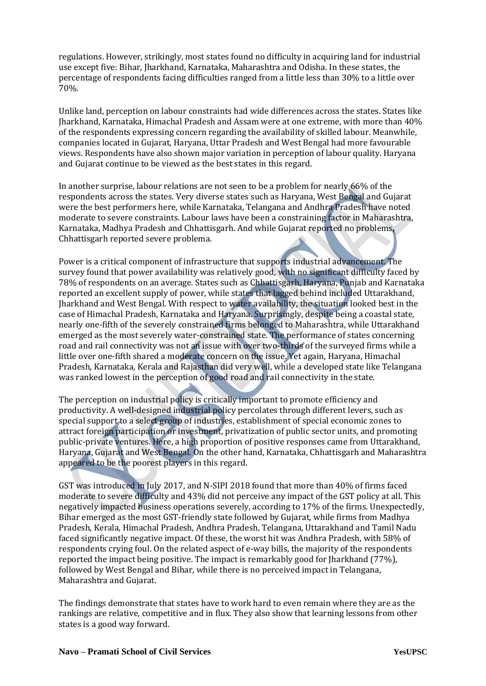regulations. However, strikingly, most states found no difficulty in acquiring land for industrial use except five: Bihar, Jharkhand, Karnataka, Maharashtra and Odisha. In these states, the percentage of respondents facing difficulties ranged from a little less than 30% to a little over 70%.

Unlike land, perception on labour constraints had wide differences across the states. States like Jharkhand, Karnataka, Himachal Pradesh and Assam were at one extreme, with more than 40% of the respondents expressing concern regarding the availability of skilled labour. Meanwhile, companies located in Gujarat, Haryana, Uttar Pradesh and West Bengal had more favourable views. Respondents have also shown major variation in perception of labour quality. Haryana and Gujarat continue to be viewed as the best states in this regard.

In another surprise, labour relations are not seen to be a problem for nearly 66% of the respondents across the states. Very diverse states such as Haryana, West Bengal and Gujarat were the best performers here, while Karnataka, Telangana and Andhra Pradesh have noted moderate to severe constraints. Labour laws have been a constraining factor in Maharashtra, Karnataka, Madhya Pradesh and Chhattisgarh. And while Gujarat reported no problems, Chhattisgarh reported severe problema.

Power is a critical component of infrastructure that supports industrial advancement. The survey found that power availability was relatively good, with no significant difficulty faced by 78% of respondents on an average. States such as Chhattisgarh, Haryana, Punjab and Karnataka reported an excellent supply of power, while states that lagged behind included Uttarakhand, Jharkhand and West Bengal. With respect to water availability, the situation looked best in the case of Himachal Pradesh, Karnataka and Haryana. Surprisingly, despite being a coastal state, nearly one-fifth of the severely constrained firms belonged to Maharashtra, while Uttarakhand emerged as the most severely water-constrained state. The performance of states concerning road and rail connectivity was not an issue with over two-thirds of the surveyed firms while a little over one-fifth shared a moderate concern on the issue. Yet again, Haryana, Himachal Pradesh, Karnataka, Kerala and Rajasthan did very well, while a developed state like Telangana was ranked lowest in the perception of good road and rail connectivity in the state.

The perception on industrial policy is critically important to promote efficiency and productivity. A well-designed industrial policy percolates through different levers, such as special support to a select group of industries, establishment of special economic zones to attract foreign participation or investment, privatization of public sector units, and promoting public-private ventures. Here, a high proportion of positive responses came from Uttarakhand, Haryana, Gujarat and West Bengal. On the other hand, Karnataka, Chhattisgarh and Maharashtra appeared to be the poorest players in this regard.

GST was introduced in July 2017, and N-SIPI 2018 found that more than 40% of firms faced moderate to severe difficulty and 43% did not perceive any impact of the GST policy at all. This negatively impacted business operations severely, according to 17% of the firms. Unexpectedly, Bihar emerged as the most GST-friendly state followed by Gujarat, while firms from Madhya Pradesh, Kerala, Himachal Pradesh, Andhra Pradesh, Telangana, Uttarakhand and Tamil Nadu faced significantly negative impact. Of these, the worst hit was Andhra Pradesh, with 58% of respondents crying foul. On the related aspect of e-way bills, the majority of the respondents reported the impact being positive. The impact is remarkably good for Jharkhand (77%), followed by West Bengal and Bihar, while there is no perceived impact in Telangana, Maharashtra and Gujarat.

The findings demonstrate that states have to work hard to even remain where they are as the rankings are relative, competitive and in flux. They also show that learning lessons from other states is a good way forward.